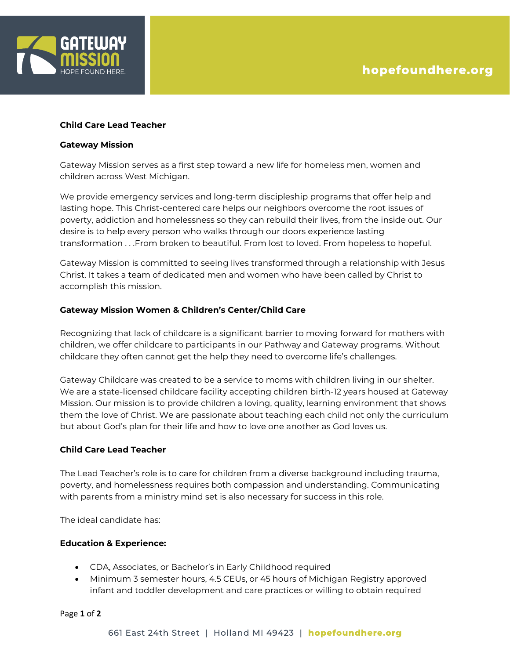

## **Child Care Lead Teacher**

### **Gateway Mission**

Gateway Mission serves as a first step toward a new life for homeless men, women and children across West Michigan.

We provide emergency services and long-term discipleship programs that offer help and lasting hope. This Christ-centered care helps our neighbors overcome the root issues of poverty, addiction and homelessness so they can rebuild their lives, from the inside out. Our desire is to help every person who walks through our doors experience lasting transformation . . .From broken to beautiful. From lost to loved. From hopeless to hopeful.

Gateway Mission is committed to seeing lives transformed through a relationship with Jesus Christ. It takes a team of dedicated men and women who have been called by Christ to accomplish this mission.

## **Gateway Mission Women & Children's Center/Child Care**

Recognizing that lack of childcare is a significant barrier to moving forward for mothers with children, we offer childcare to participants in our Pathway and Gateway programs. Without childcare they often cannot get the help they need to overcome life's challenges.

Gateway Childcare was created to be a service to moms with children living in our shelter. We are a state-licensed childcare facility accepting children birth-12 years housed at Gateway Mission. Our mission is to provide children a loving, quality, learning environment that shows them the love of Christ. We are passionate about teaching each child not only the curriculum but about God's plan for their life and how to love one another as God loves us.

## **Child Care Lead Teacher**

The Lead Teacher's role is to care for children from a diverse background including trauma, poverty, and homelessness requires both compassion and understanding. Communicating with parents from a ministry mind set is also necessary for success in this role.

The ideal candidate has:

## **Education & Experience:**

- CDA, Associates, or Bachelor's in Early Childhood required
- Minimum 3 semester hours, 4.5 CEUs, or 45 hours of Michigan Registry approved infant and toddler development and care practices or willing to obtain required

Page **1** of **2**